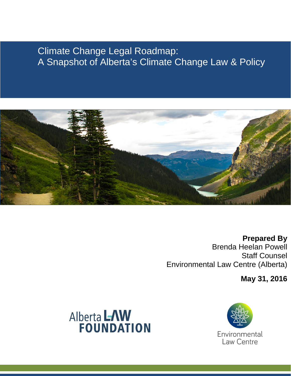## Climate Change Legal Roadmap: A Snapshot of Alberta's Climate Change Law & Policy



**Prepared By**  Brenda Heelan Powell Staff Counsel Environmental Law Centre (Alberta)

**May 31, 2016**



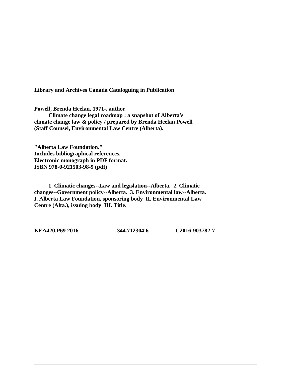**Library and Archives Canada Cataloguing in Publication** 

**Powell, Brenda Heelan, 1971-, author Climate change legal roadmap : a snapshot of Alberta's climate change law & policy / prepared by Brenda Heelan Powell (Staff Counsel, Environmental Law Centre (Alberta).** 

**"Alberta Law Foundation." Includes bibliographical references. Electronic monograph in PDF format. ISBN 978-0-921503-98-9 (pdf)** 

**1. Climatic changes--Law and legislation--Alberta. 2. Climatic changes--Government policy--Alberta. 3. Environmental law--Alberta. I. Alberta Law Foundation, sponsoring body II. Environmental Law Centre (Alta.), issuing body III. Title.**

**KEA420.P69 2016 344.712304'6 C2016-903782-7**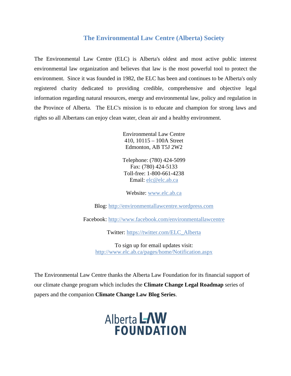#### **The Environmental Law Centre (Alberta) Society**

The Environmental Law Centre (ELC) is Alberta's oldest and most active public interest environmental law organization and believes that law is the most powerful tool to protect the environment. Since it was founded in 1982, the ELC has been and continues to be Alberta's only registered charity dedicated to providing credible, comprehensive and objective legal information regarding natural resources, energy and environmental law, policy and regulation in the Province of Alberta. The ELC's mission is to educate and champion for strong laws and rights so all Albertans can enjoy clean water, clean air and a healthy environment.

> Environmental Law Centre 410, 10115 – 100A Street Edmonton, AB T5J 2W2

Telephone: (780) 424-5099 Fax: (780) 424-5133 Toll-free: 1-800-661-4238 Email: elc@elc.ab.ca

Website: [www.elc.ab.ca](http://www.elc.ab.ca/)

Blog: [http://environmentallawcentre.wordpress.com](http://environmentallawcentre.wordpress.com/)

Facebook:<http://www.facebook.com/environmentallawcentre>

Twitter: [https://twitter.com/ELC\\_Alberta](https://twitter.com/ELC_Alberta)

To sign up for email updates visit: <http://www.elc.ab.ca/pages/home/Notification.aspx>

The Environmental Law Centre thanks the Alberta Law Foundation for its financial support of our climate change program which includes the **Climate Change Legal Roadmap** series of papers and the companion **Climate Change Law Blog Series**.

# Alberta LAW **FOUNDATION**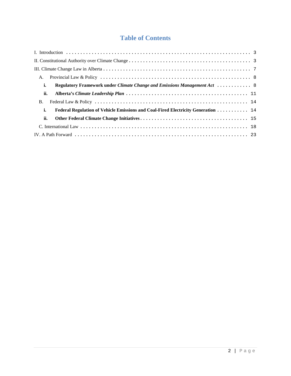## **Table of Contents**

| A.                                                                                             |
|------------------------------------------------------------------------------------------------|
| i.<br><b>Regulatory Framework under Climate Change and Emissions Management Act  8</b>         |
| ii.                                                                                            |
| <b>B.</b>                                                                                      |
| i.<br><b>Federal Regulation of Vehicle Emissions and Coal-Fired Electricity Generation </b> 14 |
| ii.                                                                                            |
|                                                                                                |
|                                                                                                |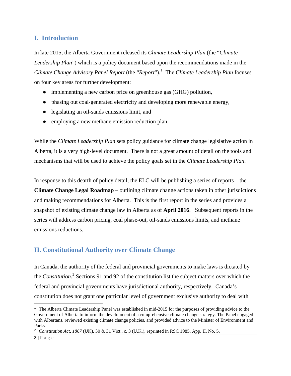## <span id="page-4-0"></span>**I. Introduction**

In late 2015, the Alberta Government released its *Climate Leadership Plan* (the "*Climate Leadership Plan*") which is a policy document based upon the recommendations made in the *Climate Change Advisory Panel [Report](http://alberta.ca/documents/climate/climate-leadership-report-to-minister.pdf)* (the "*Report*").[1](#page-4-2) The *Climate Leadership Plan* focuses on four key areas for further development:

- implementing a new carbon price on greenhouse gas (GHG) pollution,
- phasing out coal-generated electricity and developing more renewable energy,
- legislating an oil-sands emissions limit, and
- employing a new methane emission reduction plan.

While the *Climate Leadership Plan* sets policy guidance for climate change legislative action in Alberta, it is a very high-level document. There is not a great amount of detail on the tools and mechanisms that will be used to achieve the policy goals set in the *Climate Leadership Plan*.

In response to this dearth of policy detail, the ELC will be publishing a series of reports – the **Climate Change Legal Roadmap** – outlining climate change actions taken in other jurisdictions and making recommendations for Alberta. This is the first report in the series and provides a snapshot of existing climate change law in Alberta as of **April 2016**. Subsequent reports in the series will address carbon pricing, coal phase-out, oil-sands emissions limits, and methane emissions reductions.

## <span id="page-4-1"></span>**II. Constitutional Authority over Climate Change**

In Canada, the authority of the federal and provincial governments to make laws is dictated by the *Constitution*.<sup>[2](#page-4-3)</sup> Sections 91 and 92 of the constitution list the subject matters over which the federal and provincial governments have jurisdictional authority, respectively. Canada's constitution does not grant one particular level of government exclusive authority to deal with

<span id="page-4-2"></span> $1$  The Alberta Climate Leadership Panel was established in mid-2015 for the purposes of providing advice to the Government of Alberta to inform the development of a comprehensive climate change strategy. The Panel engaged with Albertans, reviewed existing climate change policies, and provided advice to the Minister of Environment and Parks.

<span id="page-4-3"></span><sup>2</sup> *Constitution Act, 1867* (UK), 30 & 31 Vict., c. 3 (U.K.), reprinted in RSC 1985, App. II, No. 5.

 $3 | P \text{ a } g \text{ e}$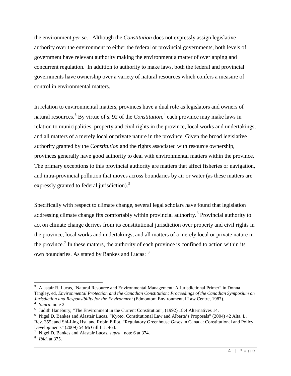the environment *per se*. Although the *Constitution* does not expressly assign legislative authority over the environment to either the federal or provincial governments, both levels of government have relevant authority making the environment a matter of overlapping and concurrent regulation. In addition to authority to make laws, both the federal and provincial governments have ownership over a variety of natural resources which confers a measure of control in environmental matters.

In relation to environmental matters, provinces have a dual role as legislators and owners of natural resources.<sup>[3](#page-5-0)</sup> By virtue of s. 92 of the *Constitution*,<sup>[4](#page-5-1)</sup> each province may make laws in relation to municipalities, property and civil rights in the province, local works and undertakings, and all matters of a merely local or private nature in the province. Given the broad legislative authority granted by the *Constitution* and the rights associated with resource ownership, provinces generally have good authority to deal with environmental matters within the province. The primary exceptions to this provincial authority are matters that affect fisheries or navigation, and intra-provincial pollution that moves across boundaries by air or water (as these matters are expressly granted to federal jurisdiction).<sup>[5](#page-5-2)</sup>

Specifically with respect to climate change, several legal scholars have found that legislation addressing climate change fits comfortably within provincial authority.<sup>[6](#page-5-3)</sup> Provincial authority to act on climate change derives from its constitutional jurisdiction over property and civil rights in the province, local works and undertakings, and all matters of a merely local or private nature in the province.<sup>[7](#page-5-4)</sup> In these matters, the authority of each province is confined to action within its own boundaries. As stated by Bankes and Lucas: [8](#page-5-5)

<span id="page-5-0"></span><sup>3</sup> Alastair R. Lucas, 'Natural Resource and Environmental Management: A Jurisdictional Primer" in Donna Tingley, ed, *Environmental Protection and the Canadian Constitution: Proceedings of the Canadian Symposium on Jurisdiction and Responsibility for the Environment* (Edmonton: Environmental Law Centre, 1987). <sup>4</sup> *Supra*. note 2.

<span id="page-5-2"></span><span id="page-5-1"></span><sup>5</sup> Judith Hanebury, "The Environment in the Current Constitution", (1992) 18:4 Alternatives 14.

<span id="page-5-3"></span><sup>6</sup> Nigel D. Bankes and Alastair Lucas, "Kyoto, Constitutional Law and Alberta's Proposals" (2004) 42 Alta. L. Rev. 355; and Shi-Ling Hsu and Robin Elliot, "Regulatory Greenhouse Gases in Canada: Constitutional and Policy Developments" (2009) 54 McGill L.J. 463.

<span id="page-5-4"></span><sup>7</sup> Nigel D. Bankes and Alastair Lucas, *supra*. note 6 at 374.

<span id="page-5-5"></span><sup>8</sup> *Ibid*. at 375.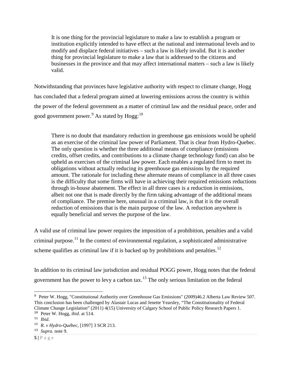It is one thing for the provincial legislature to make a law to establish a program or institution explicitly intended to have effect at the national and international levels and to modify and displace federal initiatives – such a law is likely invalid. But it is another thing for provincial legislature to make a law that is addressed to the citizens and businesses in the province and that may affect international matters – such a law is likely valid.

Notwithstanding that provinces have legislative authority with respect to climate change, Hogg has concluded that a federal program aimed at lowering emissions across the country is within the power of the federal government as a matter of criminal law and the residual peace, order and good government power.<sup>[9](#page-6-0)</sup> As stated by Hogg:<sup>[10](#page-6-1)</sup>

There is no doubt that mandatory reduction in greenhouse gas emissions would be upheld as an exercise of the criminal law power of Parliament. That is clear from Hydro-Quebec. The only question is whether the three additional means of compliance (emissions credits, offset credits, and contributions to a climate change technology fund) can also be upheld as exercises of the criminal law power. Each enables a regulated firm to meet its obligations without actually reducing its greenhouse gas emissions by the required amount. The rationale for including these alternate means of compliance in all three cases is the difficulty that some firms will have in achieving their required emissions reductions through in-house abatement. The effect in all three cases is a reduction in emissions, albeit not one that is made directly by the firm taking advantage of the additional means of compliance. The premise here, unusual in a criminal law, is that it is the overall reduction of emissions that is the main purpose of the law. A reduction anywhere is equally beneficial and serves the purpose of the law.

A valid use of criminal law power requires the imposition of a prohibition, penalties and a valid criminal purpose.<sup>[11](#page-6-2)</sup> In the context of environmental regulation, a sophisticated administrative scheme qualifies as criminal law if it is backed up by prohibitions and penalties.<sup>[12](#page-6-3)</sup>

In addition to its criminal law jurisdiction and residual POGG power, Hogg notes that the federal government has the power to levy a carbon tax.<sup>[13](#page-6-4)</sup> The only serious limitation on the federal

#### $5|P \text{ age}$

<span id="page-6-0"></span>ł <sup>9</sup> Peter W. Hogg, "Constitutional Authority over Greenhouse Gas Emissions" (2009)46.2 Alberta Law Review 507. This conclusion has been challenged by Alastair Lucas and Jenette Yearsley, "The Constitutionality of Federal Climate Change Legislation" (2011) 4(15) University of Calgary School of Public Policy Research Papers 1.

<span id="page-6-1"></span><sup>10</sup> Peter W. Hogg, *ibid*. at 514.

<span id="page-6-2"></span><sup>11</sup> *Ibid*.

<span id="page-6-3"></span><sup>12</sup> *R. v Hydro-Québec*, [1997] 3 SCR 213.

<span id="page-6-4"></span><sup>13</sup> *Supra*. note 9.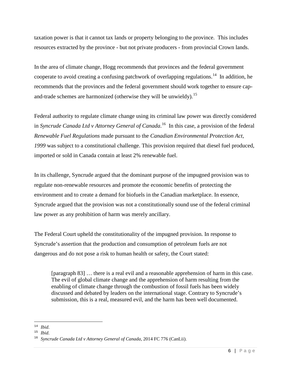taxation power is that it cannot tax lands or property belonging to the province. This includes resources extracted by the province - but not private producers - from provincial Crown lands.

In the area of climate change, Hogg recommends that provinces and the federal government cooperate to avoid creating a confusing patchwork of overlapping regulations.<sup>14</sup> In addition, he recommends that the provinces and the federal government should work together to ensure cap-and-trade schemes are harmonized (otherwise they will be unwieldy).<sup>[15](#page-7-1)</sup>

Federal authority to regulate climate change using its criminal law power was directly considered in *Syncrude Canada Ltd v Attorney General of Canada*. [16](#page-7-2)In this case, a provision of the federal *Renewable Fuel Regulations* made pursuant to the *Canadian Environmental Protection Act, 1999* was subject to a constitutional challenge. This provision required that diesel fuel produced, imported or sold in Canada contain at least 2% renewable fuel.

In its challenge, Syncrude argued that the dominant purpose of the impugned provision was to regulate non-renewable resources and promote the economic benefits of protecting the environment and to create a demand for biofuels in the Canadian marketplace. In essence, Syncrude argued that the provision was not a constitutionally sound use of the federal criminal law power as any prohibition of harm was merely ancillary.

The Federal Court upheld the constitutionality of the impugned provision. In response to Syncrude's assertion that the production and consumption of petroleum fuels are not dangerous and do not pose a risk to human health or safety, the Court stated:

[paragraph 83] … there is a real evil and a reasonable apprehension of harm in this case. The evil of global climate change and the apprehension of harm resulting from the enabling of climate change through the combustion of fossil fuels has been widely discussed and debated by leaders on the international stage. Contrary to Syncrude's submission, this is a real, measured evil, and the harm has been well documented.

<span id="page-7-0"></span>ł <sup>14</sup> *Ibid*.

<span id="page-7-1"></span><sup>15</sup> *Ibid*.

<span id="page-7-2"></span><sup>16</sup> *Syncrude Canada Ltd v Attorney General of Canada*, 2014 FC 776 (CanLii).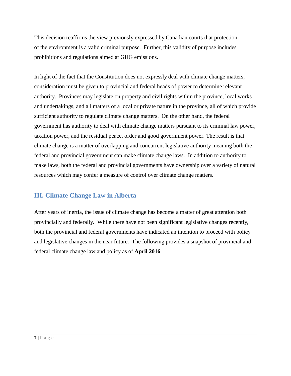This decision reaffirms the view previously expressed by Canadian courts that protection of the environment is a valid criminal purpose. Further, this validity of purpose includes prohibitions and regulations aimed at GHG emissions.

In light of the fact that the Constitution does not expressly deal with climate change matters, consideration must be given to provincial and federal heads of power to determine relevant authority. Provinces may legislate on property and civil rights within the province, local works and undertakings, and all matters of a local or private nature in the province, all of which provide sufficient authority to regulate climate change matters. On the other hand, the federal government has authority to deal with climate change matters pursuant to its criminal law power, taxation power, and the residual peace, order and good government power. The result is that climate change is a matter of overlapping and concurrent legislative authority meaning both the federal and provincial government can make climate change laws. In addition to authority to make laws, both the federal and provincial governments have ownership over a variety of natural resources which may confer a measure of control over climate change matters.

## <span id="page-8-0"></span>**III. Climate Change Law in Alberta**

After years of inertia, the issue of climate change has become a matter of great attention both provincially and federally. While there have not been significant legislative changes recently, both the provincial and federal governments have indicated an intention to proceed with policy and legislative changes in the near future. The following provides a snapshot of provincial and federal climate change law and policy as of **April 2016**.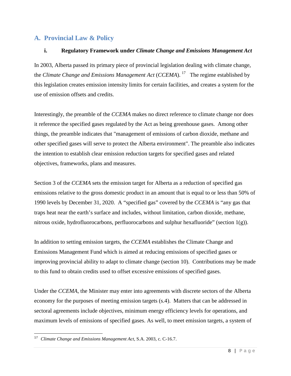## <span id="page-9-0"></span>**A. Provincial Law & Policy**

#### <span id="page-9-1"></span>**i. Regulatory Framework under** *Climate Change and Emissions Management Act*

In 2003, Alberta passed its primary piece of provincial legislation dealing with climate change, the *Climate Change and Emissions Management Act* (*CCEMA*). [17](#page-9-2) The regime established by this legislation creates emission intensity limits for certain facilities, and creates a system for the use of emission offsets and credits.

Interestingly, the preamble of the *CCEMA* makes no direct reference to climate change nor does it reference the specified gases regulated by the Act as being greenhouse gases. Among other things, the preamble indicates that "management of emissions of carbon dioxide, methane and other specified gases will serve to protect the Alberta environment". The preamble also indicates the intention to establish clear emission reduction targets for specified gases and related objectives, frameworks, plans and measures.

Section 3 of the *CCEMA* sets the emission target for Alberta as a reduction of specified gas emissions relative to the gross domestic product in an amount that is equal to or less than 50% of 1990 levels by December 31, 2020. A "specified gas" covered by the *CCEMA* is "any gas that traps heat near the earth's surface and includes, without limitation, carbon dioxide, methane, nitrous oxide, hydrofluorocarbons, perfluorocarbons and sulphur hexafluoride" (section 1(g)).

In addition to setting emission targets, the *CCEMA* establishes the Climate Change and Emissions Management Fund which is aimed at reducing emissions of specified gases or improving provincial ability to adapt to climate change (section 10). Contributions may be made to this fund to obtain credits used to offset excessive emissions of specified gases.

Under the *CCEMA*, the Minister may enter into agreements with discrete sectors of the Alberta economy for the purposes of meeting emission targets (s.4). Matters that can be addressed in sectoral agreements include objectives, minimum energy efficiency levels for operations, and maximum levels of emissions of specified gases. As well, to meet emission targets, a system of

<span id="page-9-2"></span>ł <sup>17</sup> *Climate Change and Emissions Management Act*, S.A. 2003, c. C-16.7.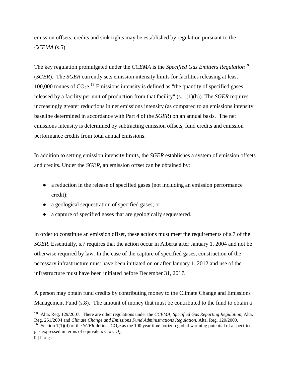emission offsets, credits and sink rights may be established by regulation pursuant to the *CCEMA* (s.5).

The key regulation promulgated under the *CCEMA* is the *Specified Gas Emitters Regulation[18](#page-10-0)* (*SGER*). The *SGER* currently sets emission intensity limits for facilities releasing at least 100,000 tonnes of  $CO<sub>2</sub>e<sup>19</sup>$  $CO<sub>2</sub>e<sup>19</sup>$  $CO<sub>2</sub>e<sup>19</sup>$  Emissions intensity is defined as "the quantity of specified gases" released by a facility per unit of production from that facility" (s. 1(1)(h)). The *SGER* requires increasingly greater reductions in net emissions intensity (as compared to an emissions intensity baseline determined in accordance with Part 4 of the *SGER*) on an annual basis. The net emissions intensity is determined by subtracting emission offsets, fund credits and emission performance credits from total annual emissions.

In addition to setting emission intensity limits, the *SGER* establishes a system of emission offsets and credits. Under the *SGER*, an emission offset can be obtained by:

- a reduction in the release of specified gases (not including an emission performance credit);
- a geological sequestration of specified gases; or
- a capture of specified gases that are geologically sequestered.

In order to constitute an emission offset, these actions must meet the requirements of s.7 of the *SGER*. Essentially, s.7 requires that the action occur in Alberta after January 1, 2004 and not be otherwise required by law. In the case of the capture of specified gases, construction of the necessary infrastructure must have been initiated on or after January 1, 2012 and use of the infrastructure must have been initiated before December 31, 2017.

A person may obtain fund credits by contributing money to the Climate Change and Emissions Management Fund (s.8). The amount of money that must be contributed to the fund to obtain a

<span id="page-10-0"></span><sup>18</sup> Alta. Reg, 129/2007. There are other regulations under the *CCEMA*, *Specified Gas Reporting Regulation*, Alta. Reg. 251/2004 and *Climate Change and Emissions Fund Administrations Regulation*, Alta. Reg. 120/2009.

<span id="page-10-1"></span><sup>&</sup>lt;sup>19</sup> Section 1(1)(d) of the *SGER* defines CO<sub>2</sub>e as the 100 year time horizon global warming potential of a specified gas expressed in terms of equivalency to  $CO<sub>2</sub>$ .

 $9$  |  $P$  a g e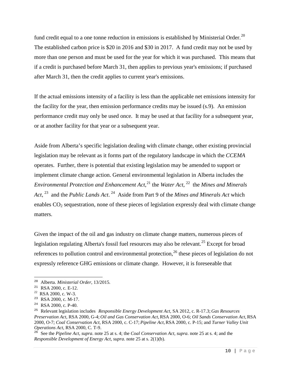fund credit equal to a one tonne reduction in emissions is established by Ministerial Order.<sup>20</sup> The established carbon price is \$20 in 2016 and \$30 in 2017. A fund credit may not be used by more than one person and must be used for the year for which it was purchased. This means that if a credit is purchased before March 31, then applies to previous year's emissions; if purchased after March 31, then the credit applies to current year's emissions.

If the actual emissions intensity of a facility is less than the applicable net emissions intensity for the facility for the year, then emission performance credits may be issued (s.9). An emission performance credit may only be used once. It may be used at that facility for a subsequent year, or at another facility for that year or a subsequent year.

Aside from Alberta's specific legislation dealing with climate change, other existing provincial legislation may be relevant as it forms part of the regulatory landscape in which the *CCEMA*  operates. Further, there is potential that existing legislation may be amended to support or implement climate change action. General environmental legislation in Alberta includes the Environmental Protection and Enhancement Act,<sup>[21](#page-11-1)</sup> the Water Act,<sup>[22](#page-11-2)</sup> the Mines and Minerals *Act*, [23](#page-11-3) and the *Public Lands Act*. [24](#page-11-4) Aside from Part 9 of the *Mines and Minerals Act* which enables  $CO<sub>2</sub>$  sequestration, none of these pieces of legislation expressly deal with climate change matters.

Given the impact of the oil and gas industry on climate change matters, numerous pieces of legislation regulating Alberta's fossil fuel resources may also be relevant.<sup>[25](#page-11-5)</sup> Except for broad references to pollution control and environmental protection,  $^{26}$  $^{26}$  $^{26}$  these pieces of legislation do not expressly reference GHG emissions or climate change. However, it is foreseeable that

ł <sup>20</sup> Alberta. *Ministerial Order*, 13/2015.

<span id="page-11-1"></span><span id="page-11-0"></span><sup>&</sup>lt;sup>21</sup> RSA 2000, c. E-12.

<span id="page-11-2"></span> $22$  RSA 2000, c. W-3.

<span id="page-11-3"></span><sup>23</sup> RSA 2000, c. M-17.

<span id="page-11-4"></span><sup>24</sup> RSA 2000, c. P-40.

<span id="page-11-5"></span><sup>25</sup> Relevant legislation includes *Responsible Energy Development Act*, SA 2012, c. R-17.3; *Gas Resources Preservation Act*, RSA 2000, G-4; *Oil and Gas Conservation Act*, RSA 2000, O-6; *Oil Sands Conservation Act*, RSA 2000, O-7; *Coal Conservation Act*, RSA 2000, c. C-17; *Pipeline Act*, RSA 2000, c. P-15; and *Turner Valley Unit Operations Act*, RSA 2000, C. T-9.

<span id="page-11-6"></span><sup>26</sup> See the *Pipeline Act*, *supra*. note 25 at s. 4; the *Coal Conservation Act*, *supra*. note 25 at s. 4; and the *Responsible Development of Energy Act*, *supra*. note 25 at s. 2(1)(b).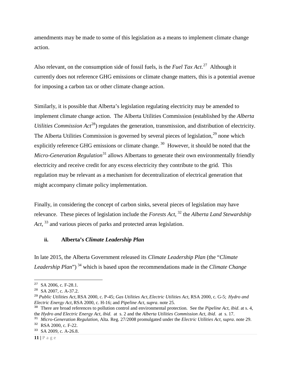amendments may be made to some of this legislation as a means to implement climate change action.

Also relevant, on the consumption side of fossil fuels, is the *Fuel Tax Act*. [27](#page-12-1) Although it currently does not reference GHG emissions or climate change matters, this is a potential avenue for imposing a carbon tax or other climate change action.

Similarly, it is possible that Alberta's legislation regulating electricity may be amended to implement climate change action. The Alberta Utilities Commission (established by the *Alberta Utilities Commission Act*<sup>28</sup>) regulates the generation, transmission, and distribution of electricity. The Alberta Utilities Commission is governed by several pieces of legislation,<sup>[29](#page-12-3)</sup> none which explicitly reference GHG emissions or climate change.<sup>[30](#page-12-4)</sup> However, it should be noted that the *Micro-Generation Regulation*<sup>[31](#page-12-5)</sup> allows Albertans to generate their own environmentally friendly electricity and receive credit for any excess electricity they contribute to the grid. This regulation may be relevant as a mechanism for decentralization of electrical generation that might accompany climate policy implementation.

Finally, in considering the concept of carbon sinks, several pieces of legislation may have relevance. These pieces of legislation include the *Forests Act*, [32](#page-12-6) the *Alberta Land Stewardship Act*, [33](#page-12-7) and various pieces of parks and protected areas legislation.

#### <span id="page-12-0"></span>**ii. Alberta's** *Climate Leadership Plan*

In late 2015, the Alberta Government released its *Climate Leadership Plan* (the "*Climate Leadership Plan*") [34](#page-12-8) which is based upon the recommendations made in the *Climate Change* 

ł  $27$  SA 2006, c. F-28.1.

<span id="page-12-2"></span><span id="page-12-1"></span><sup>28</sup> SA 2007, c. A-37.2.

<span id="page-12-8"></span><span id="page-12-3"></span><sup>29</sup> *Public Utilities Act*, RSA 2000, c. P-45; *Gas Utilities Act*, *Electric Utilities Act*, RSA 2000, c. G-5; *Hydro and Electric Energy Act*, RSA 2000, c. H-16; and *Pipeline Act*, *supra*. note 25.

<span id="page-12-4"></span><sup>30</sup> There are broad references to pollution control and environmental protection. See the *Pipeline Act*, *ibid*. at s. 4, the *Hydro and Electric Energy Act*, *ibid*. at s. 2 and the *Alberta Utilities Commission Act*, *ibid*. at s. 17.

<span id="page-12-6"></span><span id="page-12-5"></span><sup>31</sup> *Micro-Generation Regulation*, Alta. Reg. 27/2008 promulgated under the *Electric Utilities Act*, *supra*. note 29. <sup>32</sup> RSA 2000, c. F-22.

<span id="page-12-7"></span><sup>33</sup> SA 2009, c. A-26.8.

**<sup>11</sup> |** Page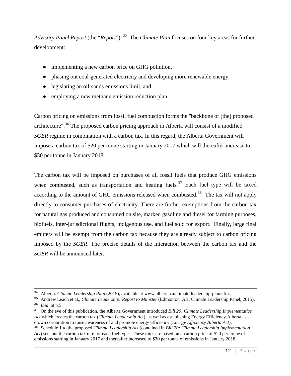*Advisory Panel [Report](http://alberta.ca/documents/climate/climate-leadership-report-to-minister.pdf)* (the "*Report*"). [35](#page-13-0) The *Climate Plan* focuses on four key areas for further development:

- implementing a new carbon price on GHG pollution,
- phasing out coal-generated electricity and developing more renewable energy,
- legislating an oil-sands emissions limit, and
- employing a new methane emission reduction plan.

Carbon pricing on emissions from fossil fuel combustion forms the "backbone of [the] proposed architecture".<sup>[36](#page-13-1)</sup> The proposed carbon pricing approach in Alberta will consist of a modified *SGER* regime in combination with a carbon tax. In this regard, the Alberta Government will impose a carbon tax of \$20 per tonne starting in January 2017 which will thereafter increase to \$30 per tonne in January 2018.

The carbon tax will be imposed on purchases of all fossil fuels that produce GHG emissions when combusted, such as transportation and heating fuels.<sup>[37](#page-13-2)</sup> Each fuel type will be taxed according to the amount of GHG emissions released when combusted.<sup>[38](#page-13-3)</sup> The tax will not apply directly to consumer purchases of electricity. There are further exemptions from the carbon tax for natural gas produced and consumed on site, marked gasoline and diesel for farming purposes, biofuels, inter-jurisdictional flights, indigenous use, and fuel sold for export. Finally, large final emitters will be exempt from the carbon tax because they are already subject to carbon pricing imposed by the *SGER*. The precise details of the interaction between the carbon tax and the *SGER* will be announced later.

<sup>&</sup>lt;sup>34</sup> Alberta. *Climate Leadership Plan* (2015), available at www.alberta.ca/climate-leadership-plan.cfm.

<span id="page-13-0"></span><sup>35</sup> Andrew Leach et al., *Climate Leadership: Report to Minister* (Edmonton, AB: Climate Leadership Panel, 2015). <sup>36</sup> *Ibid*. at p.5.

<span id="page-13-2"></span><span id="page-13-1"></span><sup>37</sup> On the eve of this publication, the Alberta Government introduced *Bill 20: Climate Leadership Implementation Act* which creates the carbon tax (*Climate Leadership Act*), as well as establishing Energy Efficiency Alberta as a crown corporation to raise awareness of and promote energy efficiency (*Energy Efficiency Alberta Act*).

<span id="page-13-3"></span><sup>38</sup> Schedule 1 to the proposed *Climate Leadership Act* (contained in *Bill 20: Climate Leadership Implementation Act*) sets out the carbon tax rate for each fuel type. These rates are based on a carbon price of \$20 per tonne of emissions starting in January 2017 and thereafter increased to \$30 per tonne of emissions in January 2018.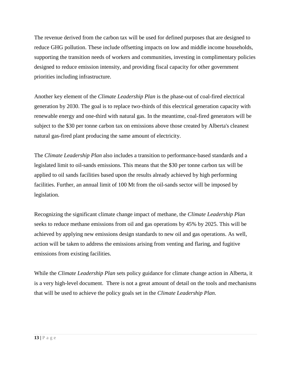The revenue derived from the carbon tax will be used for defined purposes that are designed to reduce GHG pollution. These include offsetting impacts on low and middle income households, supporting the transition needs of workers and communities, investing in complimentary policies designed to reduce emission intensity, and providing fiscal capacity for other government priorities including infrastructure.

Another key element of the *Climate Leadership Plan* is the phase-out of coal-fired electrical generation by 2030. The goal is to replace two-thirds of this electrical generation capacity with renewable energy and one-third with natural gas. In the meantime, coal-fired generators will be subject to the \$30 per tonne carbon tax on emissions above those created by Alberta's cleanest natural gas-fired plant producing the same amount of electricity.

The *Climate Leadership Plan* also includes a transition to performance-based standards and a legislated limit to oil-sands emissions. This means that the \$30 per tonne carbon tax will be applied to oil sands facilities based upon the results already achieved by high performing facilities. Further, an annual limit of 100 Mt from the oil-sands sector will be imposed by legislation.

Recognizing the significant climate change impact of methane, the *Climate Leadership Plan* seeks to reduce methane emissions from oil and gas operations by 45% by 2025. This will be achieved by applying new emissions design standards to new oil and gas operations. As well, action will be taken to address the emissions arising from venting and flaring, and fugitive emissions from existing facilities.

While the *Climate Leadership Plan* sets policy guidance for climate change action in Alberta, it is a very high-level document. There is not a great amount of detail on the tools and mechanisms that will be used to achieve the policy goals set in the *Climate Leadership Plan*.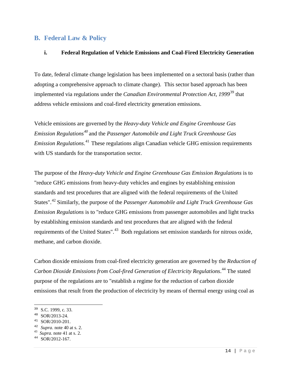#### <span id="page-15-0"></span>**B. Federal Law & Policy**

#### <span id="page-15-1"></span>**i. Federal Regulation of Vehicle Emissions and Coal-Fired Electricity Generation**

To date, federal climate change legislation has been implemented on a sectoral basis (rather than adopting a comprehensive approach to climate change). This sector based approach has been implemented via regulations under the *Canadian Environmental Protection Act, 1999*<sup>[39](#page-15-2)</sup> that address vehicle emissions and coal-fired electricity generation emissions.

Vehicle emissions are governed by the *Heavy-duty Vehicle and Engine Greenhouse Gas Emission Regulations[40](#page-15-3)* and the *Passenger Automobile and Light Truck Greenhouse Gas Emission Regulations*. [41](#page-15-4) These regulations align Canadian vehicle GHG emission requirements with US standards for the transportation sector.

The purpose of the *Heavy-duty Vehicle and Engine Greenhouse Gas Emission Regulations* is to "reduce GHG emissions from heavy-duty vehicles and engines by establishing emission standards and test procedures that are aligned with the federal requirements of the United States". [42](#page-15-5) Similarly, the purpose of the *Passenger Automobile and Light Truck Greenhouse Gas Emission Regulations* is to "reduce GHG emissions from passenger automobiles and light trucks by establishing emission standards and test procedures that are aligned with the federal requirements of the United States".<sup>[43](#page-15-6)</sup> Both regulations set emission standards for nitrous oxide, methane, and carbon dioxide.

Carbon dioxide emissions from coal-fired electricity generation are governed by the *Reduction of Carbon Dioxide Emissions from Coal-fired Generation of Electricity Regulations*. [44](#page-15-7) The stated purpose of the regulations are to "establish a regime for the reduction of carbon dioxide emissions that result from the production of electricity by means of thermal energy using coal as

Ξ

- <span id="page-15-6"></span><span id="page-15-5"></span><sup>42</sup> *Supra*. note 40 at s. 2. <sup>43</sup> *Supra*. note 41 at s. 2.
- 

<span id="page-15-2"></span><sup>39</sup> S.C. 1999, c. 33.

<span id="page-15-3"></span><sup>40</sup> SOR/2013-24.

<span id="page-15-4"></span><sup>41</sup> SOR/2010-201.

<span id="page-15-7"></span><sup>44</sup> SOR/2012-167.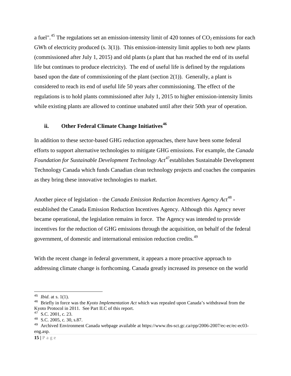a fuel".<sup>[45](#page-16-1)</sup> The regulations set an emission-intensity limit of 420 tonnes of  $CO<sub>2</sub>$  emissions for each GWh of electricity produced (s. 3(1)). This emission-intensity limit applies to both new plants (commissioned after July 1, 2015) and old plants (a plant that has reached the end of its useful life but continues to produce electricity). The end of useful life is defined by the regulations based upon the date of commissioning of the plant (section  $2(1)$ ). Generally, a plant is considered to reach its end of useful life 50 years after commissioning. The effect of the regulations is to hold plants commissioned after July 1, 2015 to higher emission-intensity limits while existing plants are allowed to continue unabated until after their 50th year of operation.

#### <span id="page-16-0"></span>**ii. Other Federal Climate Change Initiatives[46](#page-16-2)**

In addition to these sector-based GHG reduction approaches, there have been some federal efforts to support alternative technologies to mitigate GHG emissions. For example, the *Canada Foundation for Sustainable Development Technology Act*<sup>[47](#page-16-3)</sup>establishes Sustainable Development Technology Canada which funds Canadian clean technology projects and coaches the companies as they bring these innovative technologies to market.

Another piece of legislation - the *Canada Emission Reduction Incentives Agency Act*<sup>[48](#page-16-4)</sup> established the Canada Emission Reduction Incentives Agency. Although this Agency never became operational, the legislation remains in force. The Agency was intended to provide incentives for the reduction of GHG emissions through the acquisition, on behalf of the federal government, of domestic and international emission reduction credits.[49](#page-16-5)

With the recent change in federal government, it appears a more proactive approach to addressing climate change is forthcoming. Canada greatly increased its presence on the world

ł

<sup>45</sup> *Ibid*. at s. 1(1).

<span id="page-16-2"></span><span id="page-16-1"></span><sup>46</sup> Briefly in force was the *Kyoto Implementation Act* which was repealed upon Canada's withdrawal from the Kyoto Protocol in 2011. See Part II.C of this report.

<span id="page-16-3"></span><sup>47</sup> S.C. 2001, c. 23.

<span id="page-16-4"></span><sup>48</sup> S.C. 2005, c. 30, s.87.

<span id="page-16-5"></span><sup>&</sup>lt;sup>49</sup> Archived Environment Canada webpage available at https://www.tbs-sct.gc.ca/rpp/2006-2007/ec-ec/ec-ec03eng.asp.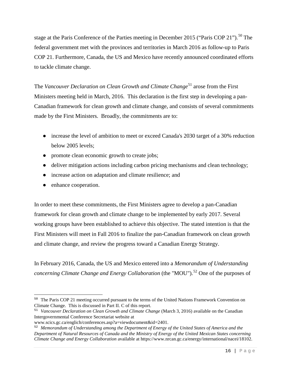stage at the Paris Conference of the Parties meeting in December 2015 ("Paris COP 21").<sup>[50](#page-17-0)</sup> The federal government met with the provinces and territories in March 2016 as follow-up to Paris COP 21. Furthermore, Canada, the US and Mexico have recently announced coordinated efforts to tackle climate change.

The *Vancouver Declaration on Clean Growth and Climate Change*<sup>[51](#page-17-1)</sup> arose from the First Ministers meeting held in March, 2016. This declaration is the first step in developing a pan-Canadian framework for clean growth and climate change, and consists of several commitments made by the First Ministers. Broadly, the commitments are to:

- increase the level of ambition to meet or exceed Canada's 2030 target of a 30% reduction below 2005 levels;
- promote clean economic growth to create jobs;
- deliver mitigation actions including carbon pricing mechanisms and clean technology;
- increase action on adaptation and climate resilience; and
- enhance cooperation.

In order to meet these commitments, the First Ministers agree to develop a pan-Canadian framework for clean growth and climate change to be implemented by early 2017. Several working groups have been established to achieve this objective. The stated intention is that the First Ministers will meet in Fall 2016 to finalize the pan-Canadian framework on clean growth and climate change, and review the progress toward a Canadian Energy Strategy.

In February 2016, Canada, the US and Mexico entered into a *Memorandum of Understanding concerning Climate Change and Energy Collaboration* (the "MOU"). [52](#page-17-2) One of the purposes of

<span id="page-17-0"></span>Ξ <sup>50</sup> The Paris COP 21 meeting occurred pursuant to the terms of the United Nations Framework Convention on Climate Change. This is discussed in Part II. C of this report.

<span id="page-17-1"></span><sup>51</sup> *Vancouver Declaration on Clean Growth and Climate Change* (March 3, 2016) available on the Canadian Intergovernmental Conference Secretariat website at

www.scics.gc.ca/englich/conferences.asp?a=viewdocument&id=2401.

<span id="page-17-2"></span><sup>52</sup> *Memorandum of Understanding among the Department of Energy of the United States of America and the Department of Natural Resources of Canada and the Ministry of Energy of the United Mexican States concerning Climate Change and Energy Collaboration* available at https://www.nrcan.gc.ca/energy/international/nacei/18102.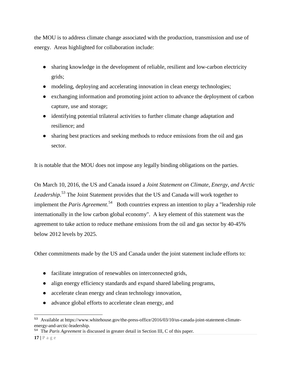the MOU is to address climate change associated with the production, transmission and use of energy. Areas highlighted for collaboration include:

- sharing knowledge in the development of reliable, resilient and low-carbon electricity grids;
- modeling, deploying and accelerating innovation in clean energy technologies;
- exchanging information and promoting joint action to advance the deployment of carbon capture, use and storage;
- identifying potential trilateral activities to further climate change adaptation and resilience; and
- sharing best practices and seeking methods to reduce emissions from the oil and gas sector.

It is notable that the MOU does not impose any legally binding obligations on the parties.

On March 10, 2016, the US and Canada issued a *Joint Statement on Climate, Energy, and Arctic Leadership*. [53](#page-18-0) The Joint Statement provides that the US and Canada will work together to implement the *Paris Agreement*.<sup>54</sup> Both countries express an intention to play a "leadership role internationally in the low carbon global economy". A key element of this statement was the agreement to take action to reduce methane emissions from the oil and gas sector by 40-45% below 2012 levels by 2025.

Other commitments made by the US and Canada under the joint statement include efforts to:

- facilitate integration of renewables on interconnected grids,
- align energy efficiency standards and expand shared labeling programs,
- accelerate clean energy and clean technology innovation,
- advance global efforts to accelerate clean energy, and

<span id="page-18-0"></span>Ĩ <sup>53</sup> Available at [https://www.whitehouse.gov/the-press-office/2016/03/10/us-canada-joint-statement-climate](https://www.whitehouse.gov/the-press-office/2016/03/10/us-canada-joint-statement-climate-)energy-and-arctic-leadership.

<span id="page-18-1"></span><sup>54</sup> The *Paris Agreement* is discussed in greater detail in Section III, C of this paper.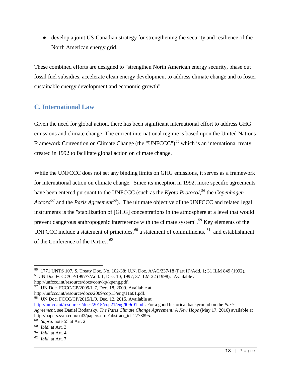● develop a joint US-Canadian strategy for strengthening the security and resilience of the North American energy grid.

These combined efforts are designed to "strengthen North American energy security, phase out fossil fuel subsidies, accelerate clean energy development to address climate change and to foster sustainable energy development and economic growth".

## <span id="page-19-0"></span>**C. International Law**

Given the need for global action, there has been significant international effort to address GHG emissions and climate change. The current international regime is based upon the United Nations Framework Convention on Climate Change (the "UNFCCC")<sup>[55](#page-19-1)</sup> which is an international treaty created in 1992 to facilitate global action on climate change.

While the UNFCCC does not set any binding limits on GHG emissions, it serves as a framework for international action on climate change. Since its inception in 1992, more specific agreements have been entered pursuant to the UNFCCC (such as the *Kyoto Protocol*, [56](#page-19-2) the *Copenhagen Accord*<sup>[57](#page-19-3)</sup> and the *Paris Agreement*<sup>58</sup>). The ultimate objective of the UNFCCC and related legal instruments is the "stabilization of [GHG] concentrations in the atmosphere at a level that would prevent dangerous anthropogenic interference with the climate system".<sup>[59](#page-19-5)</sup> Key elements of the UNFCCC include a statement of principles,  $60$  a statement of commitments,  $61$  and establishment of the Conference of the Parties. <sup>[62](#page-19-8)</sup>

<span id="page-19-2"></span>http://unfccc.int/resource/docs/convkp/kpeng.pdf.

<span id="page-19-3"></span><sup>57</sup> UN Doc. FCCC/CP/2009/L.7, Dec. 18, 2009. Available at http://unfccc.int/resource/docs/2009/cop15/eng/11a01.pdf.

<span id="page-19-4"></span><sup>58</sup> UN Doc. FCCC/CP/2015/L/9, Dec. 12, 2015. Available at

<span id="page-19-1"></span>Ĩ <sup>55</sup> 1771 UNTS 107, S. Treaty Doc. No. 102-38; U.N. Doc. A/AC/237/18 (Part II)/Add. 1; 31 ILM 849 (1992). <sup>56</sup> UN Doc FCCC/CP/1997/7/Add. 1, Dec. 10, 1997; 37 ILM 22 (1998). Available at

[http://unfcc.int/resources/docs/2015/cop21/eng/l09r01.pdf.](http://unfcc.int/resources/docs/2015/cop21/eng/l09r01.pdf) For a good historical background on the *Paris Agreement*, see Daniel Bodansky, *The Paris Climate Change Agreement: A New Hope* (May 17, 2016) available at http://papers.ssrn.com/sol3/papers.cfm?abstract\_id=2773895.

<span id="page-19-5"></span><sup>59</sup> *Supra*. note 55 at Art. 2.

<span id="page-19-6"></span><sup>60</sup> *Ibid.* at Art. 3.

<span id="page-19-7"></span><sup>61</sup> *Ibid*. at Art. 4.

<span id="page-19-8"></span><sup>62</sup> *Ibid*. at Art. 7.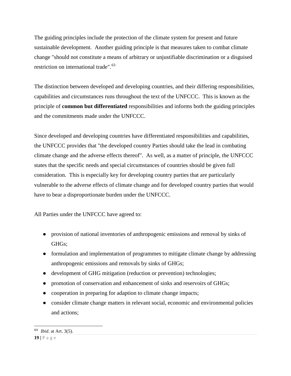The guiding principles include the protection of the climate system for present and future sustainable development. Another guiding principle is that measures taken to combat climate change "should not constitute a means of arbitrary or unjustifiable discrimination or a disguised restriction on international trade".<sup>[63](#page-20-0)</sup>

The distinction between developed and developing countries, and their differing responsibilities, capabilities and circumstances runs throughout the text of the UNFCCC. This is known as the principle of **common but differentiated** responsibilities and informs both the guiding principles and the commitments made under the UNFCCC.

Since developed and developing countries have differentiated responsibilities and capabilities, the UNFCCC provides that "the developed country Parties should take the lead in combating climate change and the adverse effects thereof". As well, as a matter of principle, the UNFCCC states that the specific needs and special circumstances of countries should be given full consideration. This is especially key for developing country parties that are particularly vulnerable to the adverse effects of climate change and for developed country parties that would have to bear a disproportionate burden under the UNFCCC.

All Parties under the UNFCCC have agreed to:

- provision of national inventories of anthropogenic emissions and removal by sinks of GHGs;
- formulation and implementation of programmes to mitigate climate change by addressing anthropogenic emissions and removals by sinks of GHGs;
- development of GHG mitigation (reduction or prevention) technologies;
- promotion of conservation and enhancement of sinks and reservoirs of GHGs;
- cooperation in preparing for adaption to climate change impacts;
- consider climate change matters in relevant social, economic and environmental policies and actions;

ł <sup>63</sup> *Ibid*. at Art. 3(5).

<span id="page-20-0"></span>**<sup>19</sup> |** Page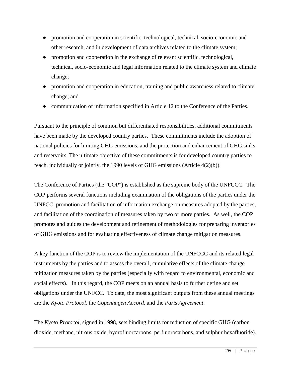- promotion and cooperation in scientific, technological, technical, socio-economic and other research, and in development of data archives related to the climate system;
- promotion and cooperation in the exchange of relevant scientific, technological, technical, socio-economic and legal information related to the climate system and climate change;
- promotion and cooperation in education, training and public awareness related to climate change; and
- communication of information specified in Article 12 to the Conference of the Parties.

Pursuant to the principle of common but differentiated responsibilities, additional commitments have been made by the developed country parties. These commitments include the adoption of national policies for limiting GHG emissions, and the protection and enhancement of GHG sinks and reservoirs. The ultimate objective of these commitments is for developed country parties to reach, individually or jointly, the 1990 levels of GHG emissions (Article 4(2)(b)).

The Conference of Parties (the "COP") is established as the supreme body of the UNFCCC. The COP performs several functions including examination of the obligations of the parties under the UNFCC, promotion and facilitation of information exchange on measures adopted by the parties, and facilitation of the coordination of measures taken by two or more parties. As well, the COP promotes and guides the development and refinement of methodologies for preparing inventories of GHG emissions and for evaluating effectiveness of climate change mitigation measures.

A key function of the COP is to review the implementation of the UNFCCC and its related legal instruments by the parties and to assess the overall, cumulative effects of the climate change mitigation measures taken by the parties (especially with regard to environmental, economic and social effects). In this regard, the COP meets on an annual basis to further define and set obligations under the UNFCC. To date, the most significant outputs from these annual meetings are the *Kyoto Protocol*, the *Copenhagen Accord*, and the *Paris Agreement*.

The *Kyoto Protocol*, signed in 1998, sets binding limits for reduction of specific GHG (carbon dioxide, methane, nitrous oxide, hydrofluorcarbons, perfluorocarbons, and sulphur hexafluoride).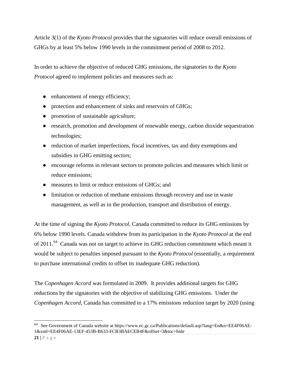Article 3(1) of the *Kyoto Protocol* provides that the signatories will reduce overall emissions of GHGs by at least 5% below 1990 levels in the commitment period of 2008 to 2012.

In order to achieve the objective of reduced GHG emissions, the signatories to the *Kyoto Protocol* agreed to implement policies and measures such as:

- enhancement of energy efficiency;
- protection and enhancement of sinks and reservoirs of GHGs;
- promotion of sustainable agriculture;
- research, promotion and development of renewable energy, carbon dioxide sequestration technologies;
- reduction of market imperfections, fiscal incentives, tax and duty exemptions and subsidies in GHG emitting sectors;
- encourage reforms in relevant sectors to promote policies and measures which limit or reduce emissions;
- measures to limit or reduce emissions of GHGs; and
- limitation or reduction of methane emissions through recovery and use in waste management, as well as in the production, transport and distribution of energy.

At the time of signing the *Kyoto Protocol*, Canada committed to reduce its GHG emissions by 6% below 1990 levels. Canada withdrew from its participation in the *Kyoto Protocol* at the end of 2011.<sup>64</sup> Canada was not on target to achieve its GHG reduction commitment which meant it would be subject to penalties imposed pursuant to the *Kyoto Protocol* (essentially, a requirement to purchase international credits to offset its inadequate GHG reduction).

The *Copenhagen Accord* was formulated in 2009. It provides additional targets for GHG reductions by the signatories with the objective of stabilizing GHG emissions. Under the *Copenhagen Accord*, Canada has committed to a 17% emissions reduction target by 2020 (using

<span id="page-22-0"></span>Ĩ <sup>64</sup> See Government of Canada website at https://www.ec.gc.ca/Publications/default.asp?lang=En&n=EE4F06AE-1&xml=EE4F06AE-13EF-453B-B633-FCB3BAECEB4F&offset=3&toc=hide

**<sup>21</sup> |** Page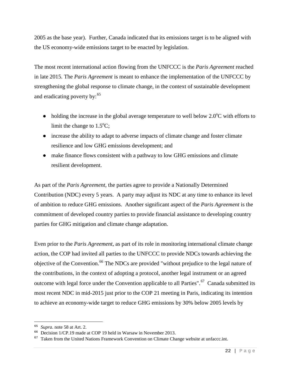2005 as the base year). Further, Canada indicated that its emissions target is to be aligned with the US economy-wide emissions target to be enacted by legislation.

The most recent international action flowing from the UNFCCC is the *Paris Agreement* reached in late 2015. The *Paris Agreement* is meant to enhance the implementation of the UNFCCC by strengthening the global response to climate change, in the context of sustainable development and eradicating poverty by: $65$ 

- $\bullet$  holding the increase in the global average temperature to well below 2.0°C with efforts to limit the change to  $1.5^{\circ}$ C;
- increase the ability to adapt to adverse impacts of climate change and foster climate resilience and low GHG emissions development; and
- make finance flows consistent with a pathway to low GHG emissions and climate resilient development.

As part of the *Paris Agreement*, the parties agree to provide a Nationally Determined Contribution (NDC) every 5 years. A party may adjust its NDC at any time to enhance its level of ambition to reduce GHG emissions. Another significant aspect of the *Paris Agreement* is the commitment of developed country parties to provide financial assistance to developing country parties for GHG mitigation and climate change adaptation.

Even prior to the *Paris Agreement*, as part of its role in monitoring international climate change action, the COP had invited all parties to the UNFCCC to provide NDCs towards achieving the objective of the Convention.<sup>[66](#page-23-1)</sup> The NDCs are provided "without prejudice to the legal nature of the contributions, in the context of adopting a protocol, another legal instrument or an agreed outcome with legal force under the Convention applicable to all Parties".<sup>67</sup> Canada submitted its most recent NDC in mid-2015 just prior to the COP 21 meeting in Paris, indicating its intention to achieve an economy-wide target to reduce GHG emissions by 30% below 2005 levels by

<span id="page-23-0"></span>ł <sup>65</sup> *Supra*. note 58 at Art. 2.

<span id="page-23-1"></span><sup>66</sup> Decision 1/CP.19 made at COP 19 held in Warsaw in November 2013.

<span id="page-23-2"></span> $67$  Taken from the United Nations Framework Convention on Climate Change website at unfaccc.int.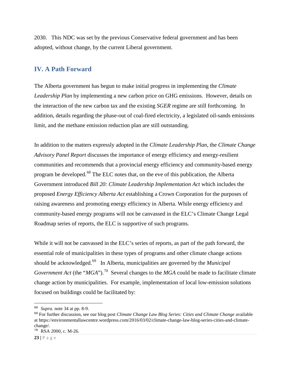2030. This NDC was set by the previous Conservative federal government and has been adopted, without change, by the current Liberal government.

#### <span id="page-24-0"></span>**IV. A Path Forward**

The Alberta government has begun to make initial progress in implementing the *Climate Leadership Plan* by implementing a new carbon price on GHG emissions. However, details on the interaction of the new carbon tax and the existing *SGER* regime are still forthcoming. In addition, details regarding the phase-out of coal-fired electricity, a legislated oil-sands emissions limit, and the methane emission reduction plan are still outstanding.

In addition to the matters expressly adopted in the *Climate Leadership Plan*, the *Climate Change Advisory Panel [Report](http://alberta.ca/documents/climate/climate-leadership-report-to-minister.pdf)* discusses the importance of energy efficiency and energy-resilient communities and recommends that a provincial energy efficiency and community-based energy program be developed.<sup>[68](#page-24-1)</sup> The ELC notes that, on the eve of this publication, the Alberta Government introduced *Bill 20: Climate Leadership Implementation Act* which includes the proposed *Energy Efficiency Alberta Act* establishing a Crown Corporation for the purposes of raising awareness and promoting energy efficiency in Alberta. While energy efficiency and community-based energy programs will not be canvassed in the ELC's Climate Change Legal Roadmap series of reports, the ELC is supportive of such programs.

While it will not be canvassed in the ELC's series of reports, as part of the path forward, the essential role of municipalities in these types of programs and other climate change actions should be acknowledged. [69](#page-24-2) In Alberta, municipalities are governed by the *Municipal Government Act* (the "*MGA*").<sup>[70](#page-24-3)</sup> Several changes to the *MGA* could be made to facilitate climate change action by municipalities. For example, implementation of local low-emission solutions focused on buildings could be facilitated by:

Ξ

<span id="page-24-1"></span><sup>68</sup> *Supra*. note 34 at pp. 8-9.

<span id="page-24-2"></span><sup>69</sup> For further discussion, see our blog post *Climate Change Law Blog Series: Cities and Climate Change* available at https://environmentallawcentre.wordpress.com/2016/03/02/climate-change-law-blog-series-cities-and-climatechange/.

<span id="page-24-3"></span><sup>70</sup> RSA 2000, c. M-26.

 $23$  |  $P$  a g e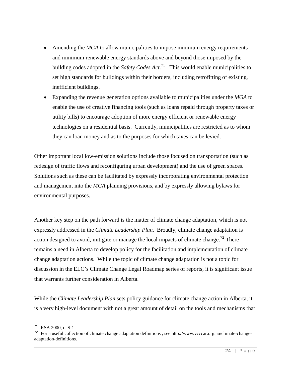- Amending the *MGA* to allow municipalities to impose minimum energy requirements and minimum renewable energy standards above and beyond those imposed by the building codes adopted in the *Safety Codes Act*. [71](#page-25-0) This would enable municipalities to set high standards for buildings within their borders, including retrofitting of existing, inefficient buildings.
- Expanding the revenue generation options available to municipalities under the *MGA* to enable the use of creative financing tools (such as loans repaid through property taxes or utility bills) to encourage adoption of more energy efficient or renewable energy technologies on a residential basis. Currently, municipalities are restricted as to whom they can loan money and as to the purposes for which taxes can be levied.

Other important local low-emission solutions include those focused on transportation (such as redesign of traffic flows and reconfiguring urban development) and the use of green spaces. Solutions such as these can be facilitated by expressly incorporating environmental protection and management into the *MGA* planning provisions, and by expressly allowing bylaws for environmental purposes.

Another key step on the path forward is the matter of climate change adaptation, which is not expressly addressed in the *Climate Leadership Plan*. Broadly, climate change adaptation is action designed to avoid, mitigate or manage the local impacts of climate change.<sup>[72](#page-25-1)</sup> There remains a need in Alberta to develop policy for the facilitation and implementation of climate change adaptation actions. While the topic of climate change adaptation is not a topic for discussion in the ELC's Climate Change Legal Roadmap series of reports, it is significant issue that warrants further consideration in Alberta.

While the *Climate Leadership Plan* sets policy guidance for climate change action in Alberta, it is a very high-level document with not a great amount of detail on the tools and mechanisms that

Ĩ  $71$  RSA 2000, c. S-1.

<span id="page-25-1"></span><span id="page-25-0"></span> $72$  For a useful collection of climate change adaptation definitions, see http://www.vcccar.org.au/climate-changeadaptation-definitions.